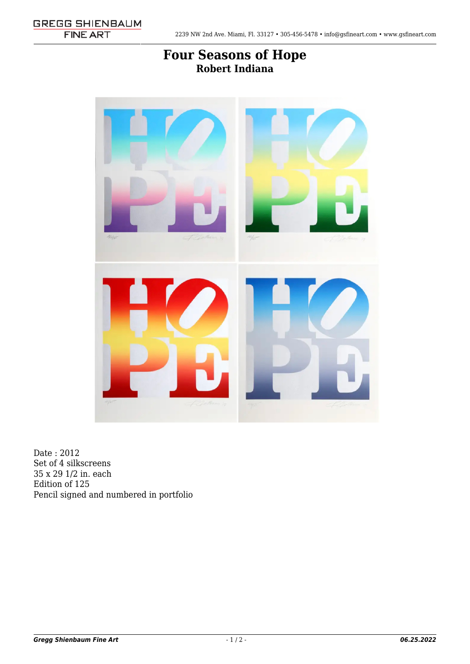## **[Four Seasons of Hope](http://gsfineart.com/gallery-news/) Robert Indiana**



Date : 2012 Set of 4 silkscreens 35 x 29 1/2 in. each Edition of 125 Pencil signed and numbered in portfolio